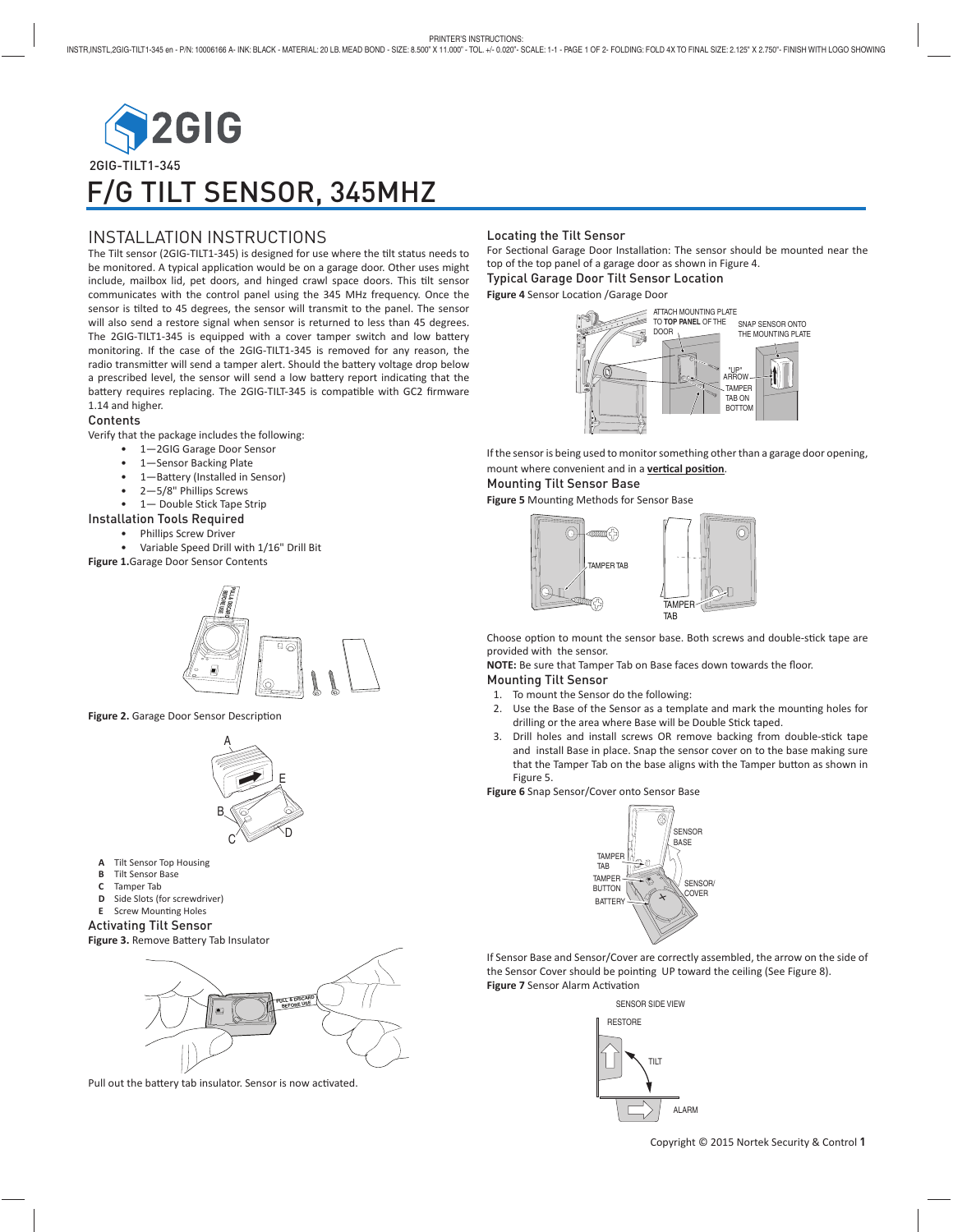

# INSTALLATION INSTRUCTIONS

The Tilt sensor (2GIG-TILT1-345) is designed for use where the tilt status needs to be monitored. A typical application would be on a garage door. Other uses might  $intulate$ , mailbox lid, pet doors, and hinged crawl space doors. This tilt sensor communicates with the control panel using the 345 MHz frequency. Once the sensor is tilted to 45 degrees, the sensor will transmit to the panel. The sensor will also send a restore signal when sensor is returned to less than 45 degrees. The 2GIG-TILT1-345 is equipped with a cover tamper switch and low battery monitoring. If the case of the 2GIG-TILT1-345 is removed for any reason, the radio transmitter will send a tamper alert. Should the battery voltage drop below a prescribed level, the sensor will send a low battery report indicating that the battery requires replacing. The 2GIG-TILT-345 is compatible with GC2 firmware 1.14 and higher.

## Contents

Verify that the package includes the following:

- 1—2GIG Garage Door Sensor
- 1-Sensor Backing Plate
- 1—Battery (Installed in Sensor)
- 2—5/8" Phillips Screws
- 1— Double Stick Tape Strip

## Installation Tools Required

- Phillips Screw Driver
- Variable Speed Drill with 1/16" Drill Bit
- **Figure 1.**Garage Door Sensor Contents



Figure 2. Garage Door Sensor Description



- **A** Tilt Sensor Top Housing<br>**B** Tilt Sensor Base
- **B** Tilt Sensor Base<br>**C** Tamper Tab
- **C** Tamper Tab
- **D** Side Slots (for screwdriver)
- **E** Screw Mounting Holes
- Activating Tilt Sensor

Figure 3. Remove Battery Tab Insulator



Pull out the battery tab insulator. Sensor is now activated.

#### Locating the Tilt Sensor

For Sectional Garage Door Installation: The sensor should be mounted near the top of the top panel of a garage door as shown in Figure 4.

Typical Garage Door Tilt Sensor Location **Figure 4 Sensor Location /Garage Door** 

> "UP" ARROW TAMPER TAB ON **BOTTOM** ATTACH MOUNTING PLATE TO **TOP PANEL** OF THE DOOR SNAP SENSOR ONTO

If the sensor is being used to monitor something other than a garage door opening, mount where convenient and in a **vertical position**.

Mounting Tilt Sensor Base

Figure 5 Mounting Methods for Sensor Base



Choose option to mount the sensor base. Both screws and double-stick tape are provided with the sensor.

**NOTE:** Be sure that Tamper Tab on Base faces down towards the floor.

### Mounting Tilt Sensor

- 1. To mount the Sensor do the following:
- 2. Use the Base of the Sensor as a template and mark the mounting holes for drilling or the area where Base will be Double Stick taped.
- 3. Drill holes and install screws OR remove backing from double-stick tape and install Base in place. Snap the sensor cover on to the base making sure that the Tamper Tab on the base aligns with the Tamper button as shown in Figure 5.

**Figure 6** Snap Sensor/Cover onto Sensor Base



If Sensor Base and Sensor/Cover are correctly assembled, the arrow on the side of the Sensor Cover should be pointing UP toward the ceiling (See Figure 8). **Figure 7 Sensor Alarm Activation**